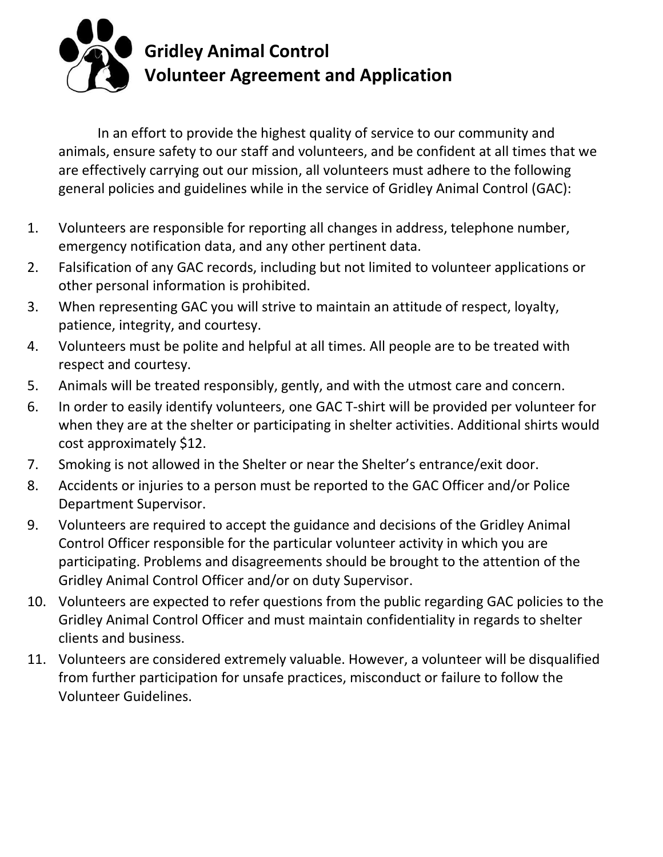

In an effort to provide the highest quality of service to our community and animals, ensure safety to our staff and volunteers, and be confident at all times that we are effectively carrying out our mission, all volunteers must adhere to the following general policies and guidelines while in the service of Gridley Animal Control (GAC):

- 1. Volunteers are responsible for reporting all changes in address, telephone number, emergency notification data, and any other pertinent data.
- 2. Falsification of any GAC records, including but not limited to volunteer applications or other personal information is prohibited.
- 3. When representing GAC you will strive to maintain an attitude of respect, loyalty, patience, integrity, and courtesy.
- 4. Volunteers must be polite and helpful at all times. All people are to be treated with respect and courtesy.
- 5. Animals will be treated responsibly, gently, and with the utmost care and concern.
- 6. In order to easily identify volunteers, one GAC T-shirt will be provided per volunteer for when they are at the shelter or participating in shelter activities. Additional shirts would cost approximately \$12.
- 7. Smoking is not allowed in the Shelter or near the Shelter's entrance/exit door.
- 8. Accidents or injuries to a person must be reported to the GAC Officer and/or Police Department Supervisor.
- 9. Volunteers are required to accept the guidance and decisions of the Gridley Animal Control Officer responsible for the particular volunteer activity in which you are participating. Problems and disagreements should be brought to the attention of the Gridley Animal Control Officer and/or on duty Supervisor.
- 10. Volunteers are expected to refer questions from the public regarding GAC policies to the Gridley Animal Control Officer and must maintain confidentiality in regards to shelter clients and business.
- 11. Volunteers are considered extremely valuable. However, a volunteer will be disqualified from further participation for unsafe practices, misconduct or failure to follow the Volunteer Guidelines.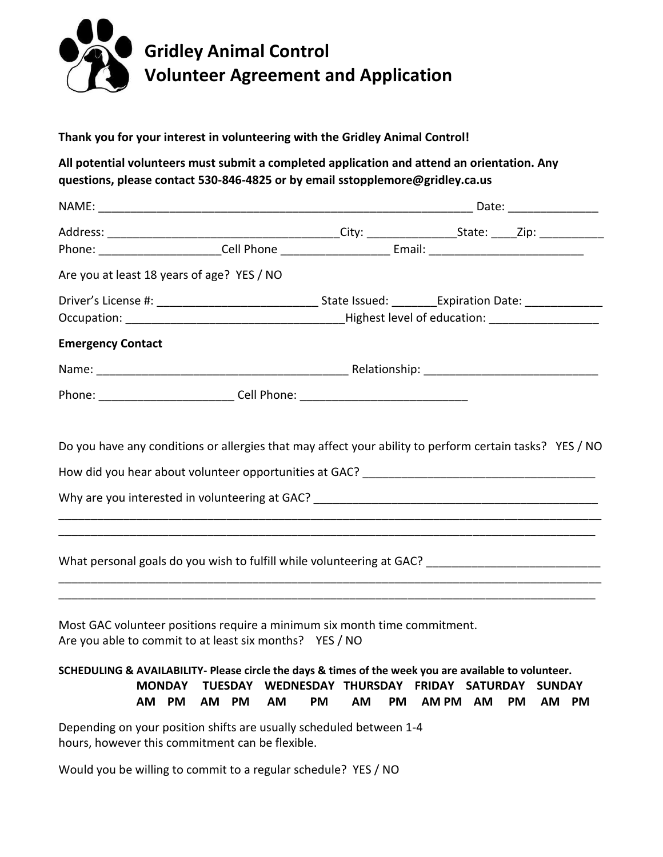

## **Thank you for your interest in volunteering with the Gridley Animal Control!**

**All potential volunteers must submit a completed application and attend an orientation. Any questions, please contact 530-846-4825 or by email sstopplemore@gridley.ca.us**

|                          | Are you at least 18 years of age? YES / NO                                                                     |  |  |  |  |
|--------------------------|----------------------------------------------------------------------------------------------------------------|--|--|--|--|
|                          |                                                                                                                |  |  |  |  |
|                          |                                                                                                                |  |  |  |  |
| <b>Emergency Contact</b> |                                                                                                                |  |  |  |  |
|                          |                                                                                                                |  |  |  |  |
|                          | Phone: ______________________________Cell Phone: _______________________________                               |  |  |  |  |
|                          | Do you have any conditions or allergies that may affect your ability to perform certain tasks? YES / NO        |  |  |  |  |
|                          | How did you hear about volunteer opportunities at GAC? [10] [2012] [2012] [2012] [2012] [2012] [2012] [2012] [ |  |  |  |  |
|                          |                                                                                                                |  |  |  |  |
|                          |                                                                                                                |  |  |  |  |
|                          | What personal goals do you wish to fulfill while volunteering at GAC? ______________________________           |  |  |  |  |
|                          |                                                                                                                |  |  |  |  |

Most GAC volunteer positions require a minimum six month time commitment. Are you able to commit to at least six months? YES / NO

## **SCHEDULING & AVAILABILITY‐ Please circle the days & times of the week you are available to volunteer. MONDAY TUESDAY WEDNESDAY THURSDAY FRIDAY SATURDAY SUNDAY AM PM AM PM AM PM AM PM AM PM AM PM AM PM**

\_\_\_\_\_\_\_\_\_\_\_\_\_\_\_\_\_\_\_\_\_\_\_\_\_\_\_\_\_\_\_\_\_\_\_\_\_\_\_\_\_\_\_\_\_\_\_\_\_\_\_\_\_\_\_\_\_\_\_\_\_\_\_\_\_\_\_\_\_\_\_\_\_\_\_\_\_\_\_\_\_\_\_

Depending on your position shifts are usually scheduled between 1-4 hours, however this commitment can be flexible.

Would you be willing to commit to a regular schedule? YES / NO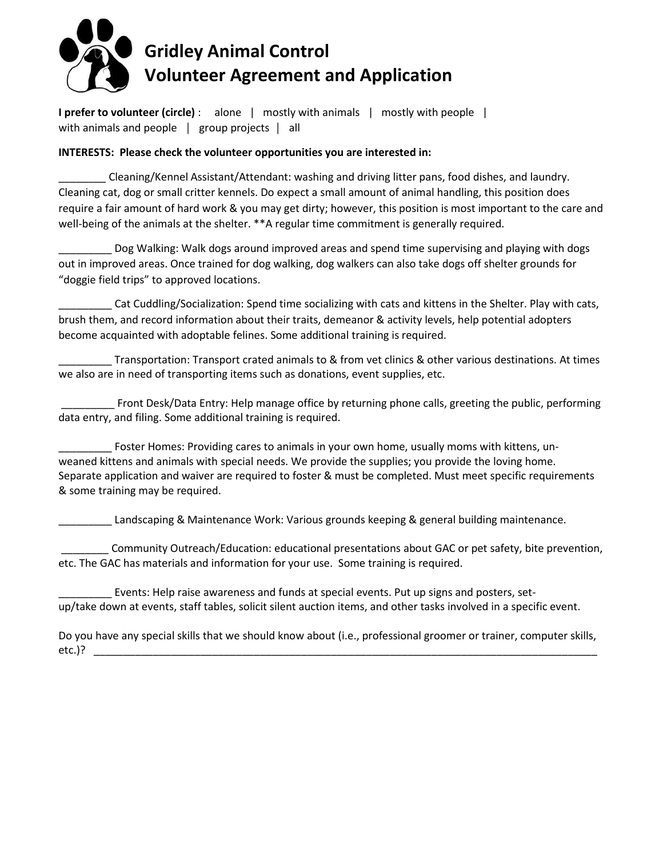

**I prefer to volunteer (circle)** : alone | mostly with animals | mostly with people | with animals and people | group projects | all

## **INTERESTS: Please check the volunteer opportunities you are interested in:**

\_\_\_\_\_\_\_\_ Cleaning/Kennel Assistant/Attendant: washing and driving litter pans, food dishes, and laundry. Cleaning cat, dog or small critter kennels. Do expect a small amount of animal handling, this position does require a fair amount of hard work & you may get dirty; however, this position is most important to the care and well-being of the animals at the shelter. \*\*A regular time commitment is generally required.

\_\_\_\_\_\_\_\_\_ Dog Walking: Walk dogs around improved areas and spend time supervising and playing with dogs out in improved areas. Once trained for dog walking, dog walkers can also take dogs off shelter grounds for "doggie field trips" to approved locations.

\_\_\_\_\_\_\_\_\_ Cat Cuddling/Socialization: Spend time socializing with cats and kittens in the Shelter. Play with cats, brush them, and record information about their traits, demeanor & activity levels, help potential adopters become acquainted with adoptable felines. Some additional training is required.

Transportation: Transport crated animals to & from vet clinics & other various destinations. At times we also are in need of transporting items such as donations, event supplies, etc.

Front Desk/Data Entry: Help manage office by returning phone calls, greeting the public, performing data entry, and filing. Some additional training is required.

Foster Homes: Providing cares to animals in your own home, usually moms with kittens, unweaned kittens and animals with special needs. We provide the supplies; you provide the loving home. Separate application and waiver are required to foster & must be completed. Must meet specific requirements & some training may be required.

Landscaping & Maintenance Work: Various grounds keeping & general building maintenance.

\_\_\_\_\_\_\_\_ Community Outreach/Education: educational presentations about GAC or pet safety, bite prevention, etc. The GAC has materials and information for your use. Some training is required.

Events: Help raise awareness and funds at special events. Put up signs and posters, setup/take down at events, staff tables, solicit silent auction items, and other tasks involved in a specific event.

Do you have any special skills that we should know about (i.e., professional groomer or trainer, computer skills, etc.)? \_\_\_\_\_\_\_\_\_\_\_\_\_\_\_\_\_\_\_\_\_\_\_\_\_\_\_\_\_\_\_\_\_\_\_\_\_\_\_\_\_\_\_\_\_\_\_\_\_\_\_\_\_\_\_\_\_\_\_\_\_\_\_\_\_\_\_\_\_\_\_\_\_\_\_\_\_\_\_\_\_\_\_\_\_